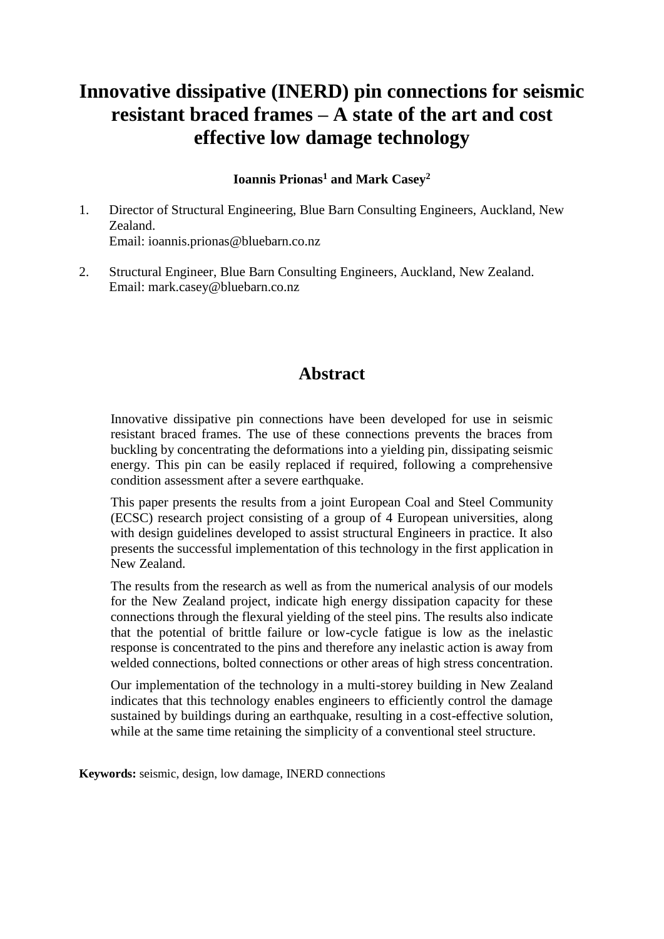# **Innovative dissipative (INERD) pin connections for seismic resistant braced frames – A state of the art and cost effective low damage technology**

## **Ioannis Prionas<sup>1</sup> and Mark Casey<sup>2</sup>**

- 1. Director of Structural Engineering, Blue Barn Consulting Engineers, Auckland, New Zealand. Email: ioannis.prionas@bluebarn.co.nz
- 2. Structural Engineer, Blue Barn Consulting Engineers, Auckland, New Zealand. Email: mark.casey@bluebarn.co.nz

## **Abstract**

Innovative dissipative pin connections have been developed for use in seismic resistant braced frames. The use of these connections prevents the braces from buckling by concentrating the deformations into a yielding pin, dissipating seismic energy. This pin can be easily replaced if required, following a comprehensive condition assessment after a severe earthquake.

This paper presents the results from a joint European Coal and Steel Community (ECSC) research project consisting of a group of 4 European universities, along with design guidelines developed to assist structural Engineers in practice. It also presents the successful implementation of this technology in the first application in New Zealand.

The results from the research as well as from the numerical analysis of our models for the New Zealand project, indicate high energy dissipation capacity for these connections through the flexural yielding of the steel pins. The results also indicate that the potential of brittle failure or low-cycle fatigue is low as the inelastic response is concentrated to the pins and therefore any inelastic action is away from welded connections, bolted connections or other areas of high stress concentration.

Our implementation of the technology in a multi-storey building in New Zealand indicates that this technology enables engineers to efficiently control the damage sustained by buildings during an earthquake, resulting in a cost-effective solution, while at the same time retaining the simplicity of a conventional steel structure.

**Keywords:** seismic, design, low damage, INERD connections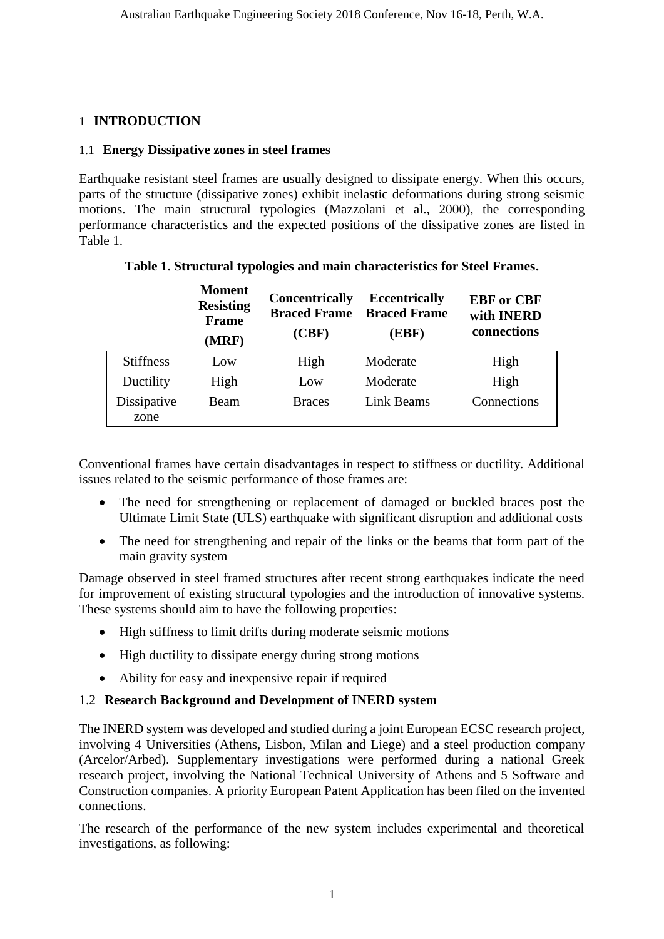## 1 **INTRODUCTION**

## 1.1 **Energy Dissipative zones in steel frames**

Earthquake resistant steel frames are usually designed to dissipate energy. When this occurs, parts of the structure (dissipative zones) exhibit inelastic deformations during strong seismic motions. The main structural typologies (Mazzolani et al., 2000), the corresponding performance characteristics and the expected positions of the dissipative zones are listed in Table 1.

|                     | <b>Moment</b><br><b>Resisting</b><br><b>Frame</b><br>(MRF) | <b>Concentrically</b><br><b>Braced Frame</b><br>(CBF) | <b>Eccentrically</b><br><b>Braced Frame</b><br>(EBF) | <b>EBF</b> or CBF<br>with <b>INERD</b><br>connections |
|---------------------|------------------------------------------------------------|-------------------------------------------------------|------------------------------------------------------|-------------------------------------------------------|
| <b>Stiffness</b>    | Low                                                        | High                                                  | Moderate                                             | High                                                  |
| Ductility           | High                                                       | Low                                                   | Moderate                                             | High                                                  |
| Dissipative<br>zone | Beam                                                       | <b>Braces</b>                                         | Link Beams                                           | Connections                                           |

## **Table 1. Structural typologies and main characteristics for Steel Frames.**

Conventional frames have certain disadvantages in respect to stiffness or ductility. Additional issues related to the seismic performance of those frames are:

- The need for strengthening or replacement of damaged or buckled braces post the Ultimate Limit State (ULS) earthquake with significant disruption and additional costs
- The need for strengthening and repair of the links or the beams that form part of the main gravity system

Damage observed in steel framed structures after recent strong earthquakes indicate the need for improvement of existing structural typologies and the introduction of innovative systems. These systems should aim to have the following properties:

- High stiffness to limit drifts during moderate seismic motions
- High ductility to dissipate energy during strong motions
- Ability for easy and inexpensive repair if required

## 1.2 **Research Background and Development of INERD system**

The INERD system was developed and studied during a joint European ECSC research project, involving 4 Universities (Athens, Lisbon, Milan and Liege) and a steel production company (Arcelor/Arbed). Supplementary investigations were performed during a national Greek research project, involving the National Technical University of Athens and 5 Software and Construction companies. A priority European Patent Application has been filed on the invented connections.

The research of the performance of the new system includes experimental and theoretical investigations, as following: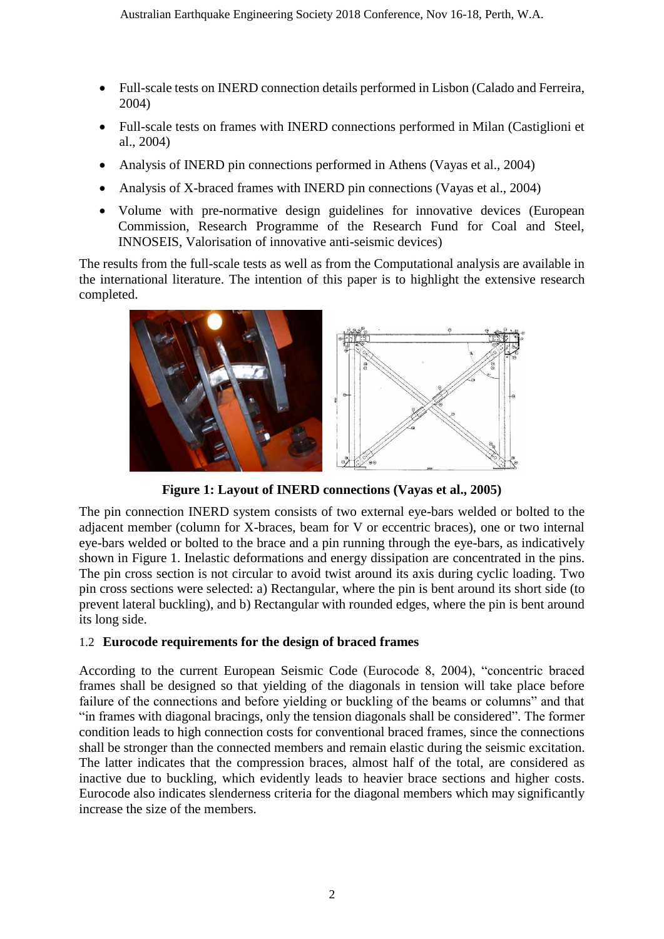- Full-scale tests on INERD connection details performed in Lisbon (Calado and Ferreira, 2004)
- Full-scale tests on frames with INERD connections performed in Milan (Castiglioni et al., 2004)
- Analysis of INERD pin connections performed in Athens (Vayas et al., 2004)
- Analysis of X-braced frames with INERD pin connections (Vayas et al., 2004)
- Volume with pre-normative design guidelines for innovative devices (European Commission, Research Programme of the Research Fund for Coal and Steel, INNOSEIS, Valorisation of innovative anti-seismic devices)

The results from the full-scale tests as well as from the Computational analysis are available in the international literature. The intention of this paper is to highlight the extensive research completed.



**Figure 1: Layout of INERD connections (Vayas et al., 2005)**

The pin connection INERD system consists of two external eye-bars welded or bolted to the adjacent member (column for X-braces, beam for V or eccentric braces), one or two internal eye-bars welded or bolted to the brace and a pin running through the eye-bars, as indicatively shown in Figure 1. Inelastic deformations and energy dissipation are concentrated in the pins. The pin cross section is not circular to avoid twist around its axis during cyclic loading. Two pin cross sections were selected: a) Rectangular, where the pin is bent around its short side (to prevent lateral buckling), and b) Rectangular with rounded edges, where the pin is bent around its long side.

## 1.2 **Eurocode requirements for the design of braced frames**

According to the current European Seismic Code (Eurocode 8, 2004), "concentric braced frames shall be designed so that yielding of the diagonals in tension will take place before failure of the connections and before yielding or buckling of the beams or columns" and that "in frames with diagonal bracings, only the tension diagonals shall be considered". The former condition leads to high connection costs for conventional braced frames, since the connections shall be stronger than the connected members and remain elastic during the seismic excitation. The latter indicates that the compression braces, almost half of the total, are considered as inactive due to buckling, which evidently leads to heavier brace sections and higher costs. Eurocode also indicates slenderness criteria for the diagonal members which may significantly increase the size of the members.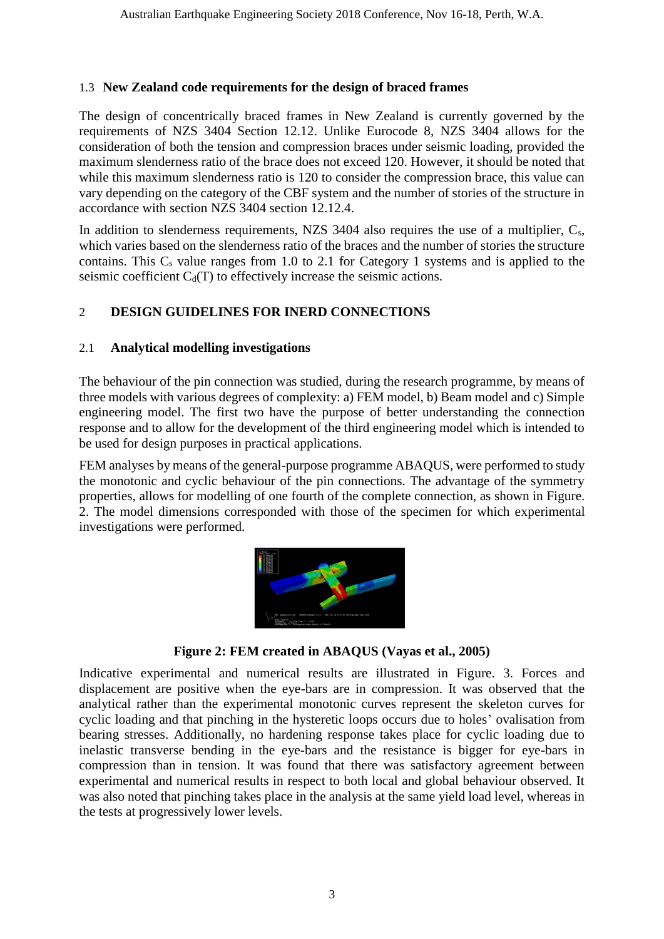## 1.3 **New Zealand code requirements for the design of braced frames**

The design of concentrically braced frames in New Zealand is currently governed by the requirements of NZS 3404 Section 12.12. Unlike Eurocode 8, NZS 3404 allows for the consideration of both the tension and compression braces under seismic loading, provided the maximum slenderness ratio of the brace does not exceed 120. However, it should be noted that while this maximum slenderness ratio is 120 to consider the compression brace, this value can vary depending on the category of the CBF system and the number of stories of the structure in accordance with section NZS 3404 section 12.12.4.

In addition to slenderness requirements, NZS 3404 also requires the use of a multiplier,  $C_s$ , which varies based on the slenderness ratio of the braces and the number of stories the structure contains. This  $C_s$  value ranges from 1.0 to 2.1 for Category 1 systems and is applied to the seismic coefficient  $C_d(T)$  to effectively increase the seismic actions.

## 2 **DESIGN GUIDELINES FOR INERD CONNECTIONS**

## 2.1 **Analytical modelling investigations**

The behaviour of the pin connection was studied, during the research programme, by means of three models with various degrees of complexity: a) FEM model, b) Beam model and c) Simple engineering model. The first two have the purpose of better understanding the connection response and to allow for the development of the third engineering model which is intended to be used for design purposes in practical applications.

FEM analyses by means of the general-purpose programme ABAQUS, were performed to study the monotonic and cyclic behaviour of the pin connections. The advantage of the symmetry properties, allows for modelling of one fourth of the complete connection, as shown in Figure. 2. The model dimensions corresponded with those of the specimen for which experimental investigations were performed.



**Figure 2: FEM created in ABAQUS (Vayas et al., 2005)**

Indicative experimental and numerical results are illustrated in Figure. 3. Forces and displacement are positive when the eye-bars are in compression. It was observed that the analytical rather than the experimental monotonic curves represent the skeleton curves for cyclic loading and that pinching in the hysteretic loops occurs due to holes' ovalisation from bearing stresses. Additionally, no hardening response takes place for cyclic loading due to inelastic transverse bending in the eye-bars and the resistance is bigger for eye-bars in compression than in tension. It was found that there was satisfactory agreement between experimental and numerical results in respect to both local and global behaviour observed. It was also noted that pinching takes place in the analysis at the same yield load level, whereas in the tests at progressively lower levels.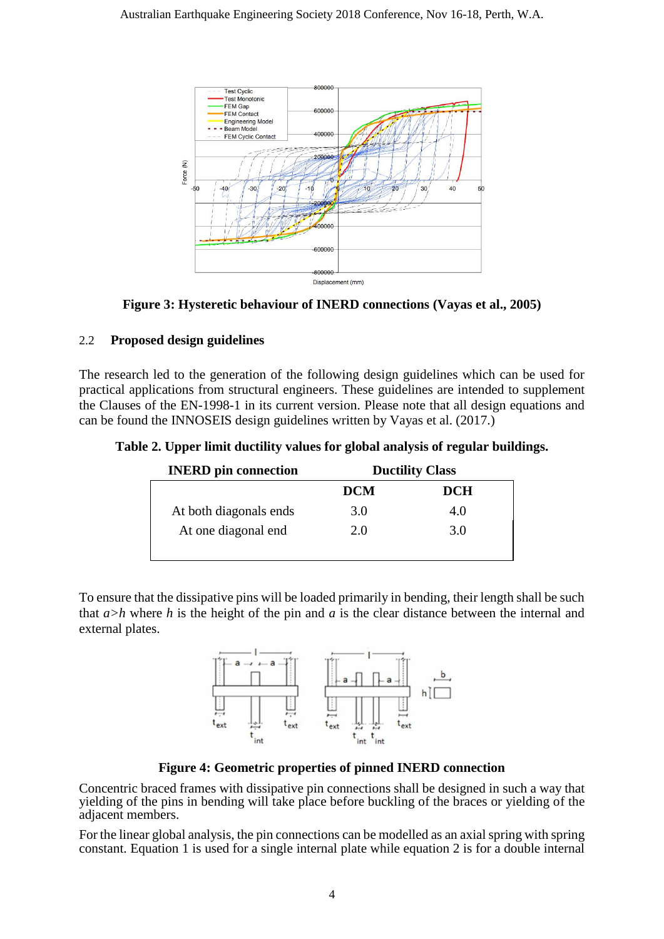

**Figure 3: Hysteretic behaviour of INERD connections (Vayas et al., 2005)**

## 2.2 **Proposed design guidelines**

The research led to the generation of the following design guidelines which can be used for practical applications from structural engineers. These guidelines are intended to supplement the Clauses of the EN-1998-1 in its current version. Please note that all design equations and can be found the INNOSEIS design guidelines written by Vayas et al. (2017.)

|  | Table 2. Upper limit ductility values for global analysis of regular buildings. |  |  |  |  |
|--|---------------------------------------------------------------------------------|--|--|--|--|
|  |                                                                                 |  |  |  |  |

| <b>INERD</b> pin connection | <b>Ductility Class</b> |            |  |
|-----------------------------|------------------------|------------|--|
|                             | <b>DCM</b>             | <b>DCH</b> |  |
| At both diagonals ends      | 3.0                    | 4.0        |  |
| At one diagonal end         | 2.0                    | 3.0        |  |
|                             |                        |            |  |

To ensure that the dissipative pins will be loaded primarily in bending, their length shall be such that *a>h* where *h* is the height of the pin and *a* is the clear distance between the internal and external plates.



**Figure 4: Geometric properties of pinned INERD connection**

Concentric braced frames with dissipative pin connections shall be designed in such a way that yielding of the pins in bending will take place before buckling of the braces or yielding of the adjacent members.

For the linear global analysis, the pin connections can be modelled as an axial spring with spring constant. Equation 1 is used for a single internal plate while equation 2 is for a double internal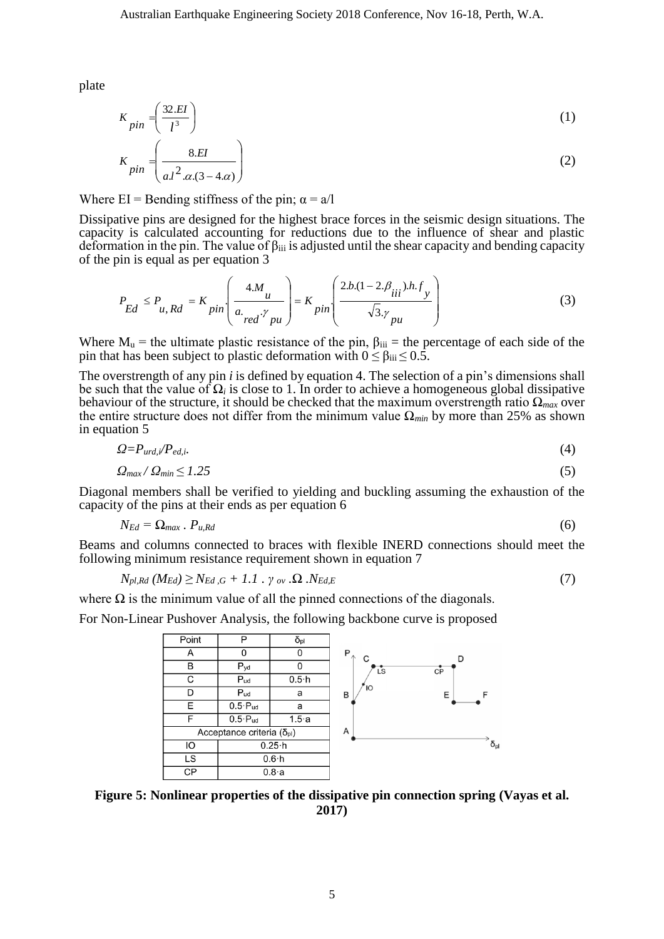plate

$$
K_{pin} = \left(\frac{32.EI}{l^3}\right) \tag{1}
$$

$$
K_{pin} = \left(\frac{8.EI}{aJ^2 \cdot \alpha(3-4\alpha)}\right) \tag{2}
$$

Where  $EI$  = Bending stiffness of the pin;  $\alpha = a/l$ 

Dissipative pins are designed for the highest brace forces in the seismic design situations. The capacity is calculated accounting for reductions due to the influence of shear and plastic deformation in the pin. The value of  $\beta_{\text{iii}}$  is adjusted until the shear capacity and bending capacity of the pin is equal as per equation 3

$$
P_{Ed} \le P_{u, Rd} = K_{pin} \left( \frac{4.M_u}{a_{red} \gamma_{pu}} \right) = K_{pin} \left( \frac{2b.(1 - 2.\beta_{iii}).h.f_y}{\sqrt{3}.\gamma_{pu}} \right)
$$
(3)

Where  $M_u$  = the ultimate plastic resistance of the pin,  $\beta_{iii}$  = the percentage of each side of the pin that has been subject to plastic deformation with  $0 \le \beta_{\text{iii}} \le 0.5$ .

The overstrength of any pin *i* is defined by equation 4. The selection of a pin's dimensions shall be such that the value of  $\Omega_i$  is close to 1. In order to achieve a homogeneous global dissipative behaviour of the structure, it should be checked that the maximum overstrength ratio Ω*max* over the entire structure does not differ from the minimum value Ω*min* by more than 25% as shown in equation 5

$$
\Omega = P_{urd,i} / P_{ed,i}.\tag{4}
$$

$$
\Omega_{\text{max}}/\Omega_{\text{min}} \le 1.25\tag{5}
$$

Diagonal members shall be verified to yielding and buckling assuming the exhaustion of the capacity of the pins at their ends as per equation 6

$$
N_{Ed} = \Omega_{max} \cdot P_{u, Rd} \tag{6}
$$

Beams and columns connected to braces with flexible INERD connections should meet the following minimum resistance requirement shown in equation 7

$$
N_{pl, Rd} (M_{Ed}) \geq N_{Ed, G} + 1.1 \cdot \gamma_{ov} . \Omega . N_{Ed, E}
$$
\n
$$
(7)
$$

where  $\Omega$  is the minimum value of all the pinned connections of the diagonals.

For Non-Linear Pushover Analysis, the following backbone curve is proposed



**Figure 5: Nonlinear properties of the dissipative pin connection spring (Vayas et al. 2017)**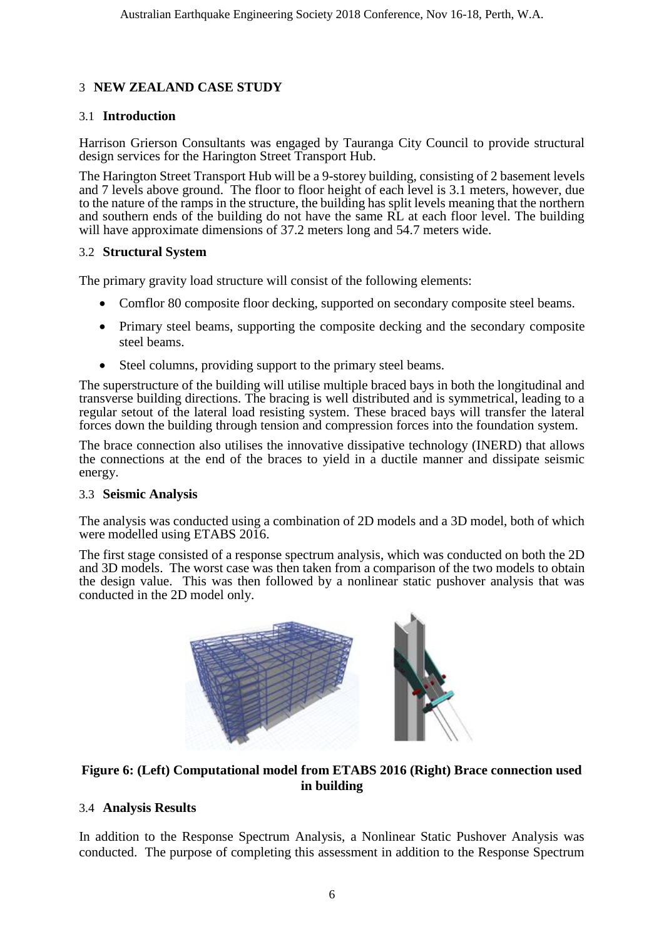## 3 **NEW ZEALAND CASE STUDY**

## 3.1 **Introduction**

Harrison Grierson Consultants was engaged by Tauranga City Council to provide structural design services for the Harington Street Transport Hub.

The Harington Street Transport Hub will be a 9-storey building, consisting of 2 basement levels and 7 levels above ground. The floor to floor height of each level is 3.1 meters, however, due to the nature of the ramps in the structure, the building has split levels meaning that the northern and southern ends of the building do not have the same RL at each floor level. The building will have approximate dimensions of 37.2 meters long and 54.7 meters wide.

#### 3.2 **Structural System**

The primary gravity load structure will consist of the following elements:

- Comflor 80 composite floor decking, supported on secondary composite steel beams.
- Primary steel beams, supporting the composite decking and the secondary composite steel beams.
- Steel columns, providing support to the primary steel beams.

The superstructure of the building will utilise multiple braced bays in both the longitudinal and transverse building directions. The bracing is well distributed and is symmetrical, leading to a regular setout of the lateral load resisting system. These braced bays will transfer the lateral forces down the building through tension and compression forces into the foundation system.

The brace connection also utilises the innovative dissipative technology (INERD) that allows the connections at the end of the braces to yield in a ductile manner and dissipate seismic energy.

#### 3.3 **Seismic Analysis**

The analysis was conducted using a combination of 2D models and a 3D model, both of which were modelled using ETABS 2016.

The first stage consisted of a response spectrum analysis, which was conducted on both the 2D and 3D models. The worst case was then taken from a comparison of the two models to obtain the design value. This was then followed by a nonlinear static pushover analysis that was conducted in the 2D model only.



## **Figure 6: (Left) Computational model from ETABS 2016 (Right) Brace connection used in building**

## 3.4 **Analysis Results**

In addition to the Response Spectrum Analysis, a Nonlinear Static Pushover Analysis was conducted. The purpose of completing this assessment in addition to the Response Spectrum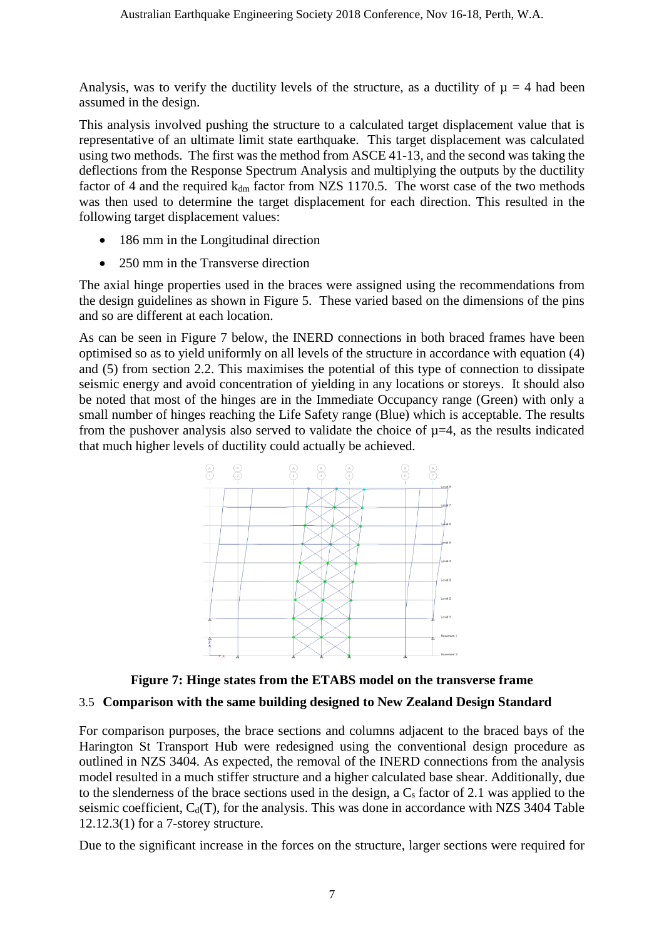Analysis, was to verify the ductility levels of the structure, as a ductility of  $\mu = 4$  had been assumed in the design.

This analysis involved pushing the structure to a calculated target displacement value that is representative of an ultimate limit state earthquake. This target displacement was calculated using two methods. The first was the method from ASCE 41-13, and the second was taking the deflections from the Response Spectrum Analysis and multiplying the outputs by the ductility factor of 4 and the required  $k_{dm}$  factor from NZS 1170.5. The worst case of the two methods was then used to determine the target displacement for each direction. This resulted in the following target displacement values:

- 186 mm in the Longitudinal direction
- 250 mm in the Transverse direction

The axial hinge properties used in the braces were assigned using the recommendations from the design guidelines as shown in Figure 5. These varied based on the dimensions of the pins and so are different at each location.

As can be seen in Figure 7 below, the INERD connections in both braced frames have been optimised so as to yield uniformly on all levels of the structure in accordance with equation (4) and (5) from section 2.2. This maximises the potential of this type of connection to dissipate seismic energy and avoid concentration of yielding in any locations or storeys. It should also be noted that most of the hinges are in the Immediate Occupancy range (Green) with only a small number of hinges reaching the Life Safety range (Blue) which is acceptable. The results from the pushover analysis also served to validate the choice of  $\mu$ =4, as the results indicated that much higher levels of ductility could actually be achieved.



**Figure 7: Hinge states from the ETABS model on the transverse frame**

## 3.5 **Comparison with the same building designed to New Zealand Design Standard**

For comparison purposes, the brace sections and columns adjacent to the braced bays of the Harington St Transport Hub were redesigned using the conventional design procedure as outlined in NZS 3404. As expected, the removal of the INERD connections from the analysis model resulted in a much stiffer structure and a higher calculated base shear. Additionally, due to the slenderness of the brace sections used in the design, a  $C_s$  factor of 2.1 was applied to the seismic coefficient,  $C_d(T)$ , for the analysis. This was done in accordance with NZS 3404 Table 12.12.3(1) for a 7-storey structure.

Due to the significant increase in the forces on the structure, larger sections were required for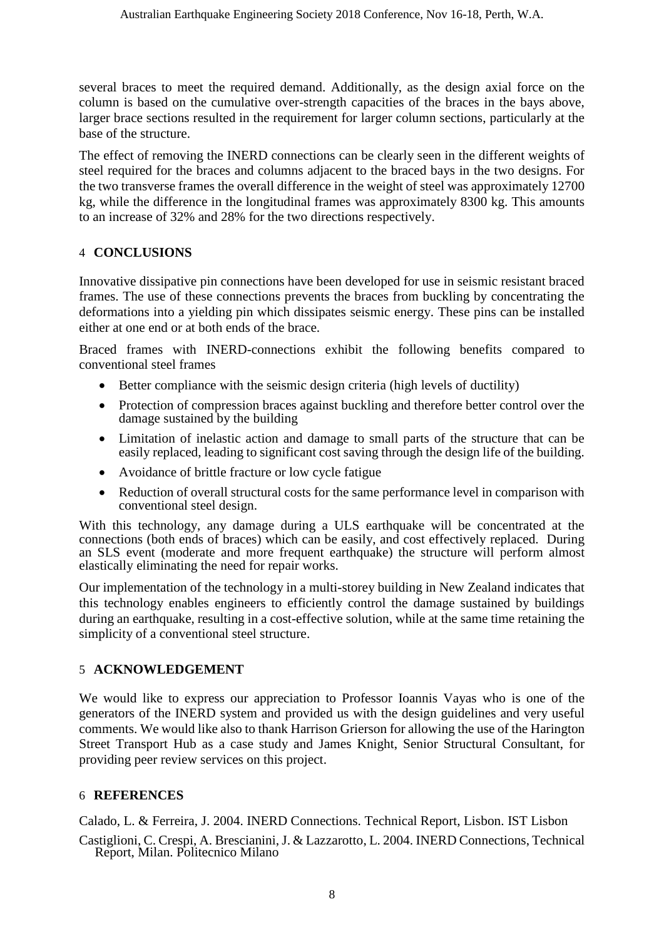several braces to meet the required demand. Additionally, as the design axial force on the column is based on the cumulative over-strength capacities of the braces in the bays above, larger brace sections resulted in the requirement for larger column sections, particularly at the base of the structure.

The effect of removing the INERD connections can be clearly seen in the different weights of steel required for the braces and columns adjacent to the braced bays in the two designs. For the two transverse frames the overall difference in the weight of steel was approximately 12700 kg, while the difference in the longitudinal frames was approximately 8300 kg. This amounts to an increase of 32% and 28% for the two directions respectively.

## 4 **CONCLUSIONS**

Innovative dissipative pin connections have been developed for use in seismic resistant braced frames. The use of these connections prevents the braces from buckling by concentrating the deformations into a yielding pin which dissipates seismic energy. These pins can be installed either at one end or at both ends of the brace.

Braced frames with INERD-connections exhibit the following benefits compared to conventional steel frames

- Better compliance with the seismic design criteria (high levels of ductility)
- Protection of compression braces against buckling and therefore better control over the damage sustained by the building
- Limitation of inelastic action and damage to small parts of the structure that can be easily replaced, leading to significant cost saving through the design life of the building.
- Avoidance of brittle fracture or low cycle fatigue
- Reduction of overall structural costs for the same performance level in comparison with conventional steel design.

With this technology, any damage during a ULS earthquake will be concentrated at the connections (both ends of braces) which can be easily, and cost effectively replaced. During an SLS event (moderate and more frequent earthquake) the structure will perform almost elastically eliminating the need for repair works.

Our implementation of the technology in a multi-storey building in New Zealand indicates that this technology enables engineers to efficiently control the damage sustained by buildings during an earthquake, resulting in a cost-effective solution, while at the same time retaining the simplicity of a conventional steel structure.

## 5 **ACKNOWLEDGEMENT**

We would like to express our appreciation to Professor Ioannis Vayas who is one of the generators of the INERD system and provided us with the design guidelines and very useful comments. We would like also to thank Harrison Grierson for allowing the use of the Harington Street Transport Hub as a case study and James Knight, Senior Structural Consultant, for providing peer review services on this project.

## 6 **REFERENCES**

Calado, L. & Ferreira, J. 2004. INERD Connections. Technical Report, Lisbon. IST Lisbon

Castiglioni, C. Crespi, A. Brescianini, J. & Lazzarotto, L. 2004. INERD Connections, Technical Report, Milan. Politecnico Milano